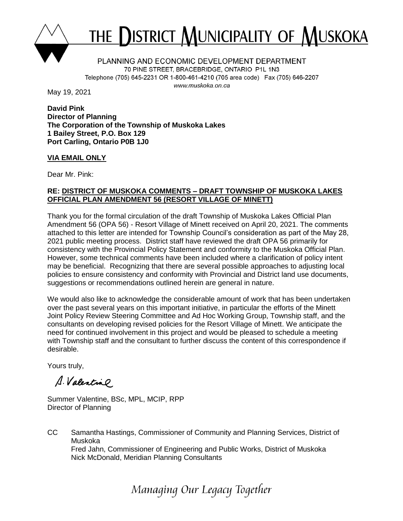

# THE DISTRICT MUNICIPALITY OF MUSKOKA

PLANNING AND ECONOMIC DEVELOPMENT DEPARTMENT 70 PINE STREET, BRACEBRIDGE, ONTARIO P1L 1N3 Telephone (705) 645-2231 OR 1-800-461-4210 (705 area code) Fax (705) 646-2207 www.muskoka.on.ca

May 19, 2021

**David Pink Director of Planning The Corporation of the Township of Muskoka Lakes 1 Bailey Street, P.O. Box 129 Port Carling, Ontario P0B 1J0**

# **VIA EMAIL ONLY**

Dear Mr. Pink:

# **RE: DISTRICT OF MUSKOKA COMMENTS – DRAFT TOWNSHIP OF MUSKOKA LAKES OFFICIAL PLAN AMENDMENT 56 (RESORT VILLAGE OF MINETT)**

Thank you for the formal circulation of the draft Township of Muskoka Lakes Official Plan Amendment 56 (OPA 56) - Resort Village of Minett received on April 20, 2021. The comments attached to this letter are intended for Township Council's consideration as part of the May 28, 2021 public meeting process. District staff have reviewed the draft OPA 56 primarily for consistency with the Provincial Policy Statement and conformity to the Muskoka Official Plan. However, some technical comments have been included where a clarification of policy intent may be beneficial. Recognizing that there are several possible approaches to adjusting local policies to ensure consistency and conformity with Provincial and District land use documents, suggestions or recommendations outlined herein are general in nature.

We would also like to acknowledge the considerable amount of work that has been undertaken over the past several years on this important initiative, in particular the efforts of the Minett Joint Policy Review Steering Committee and Ad Hoc Working Group, Township staff, and the consultants on developing revised policies for the Resort Village of Minett. We anticipate the need for continued involvement in this project and would be pleased to schedule a meeting with Township staff and the consultant to further discuss the content of this correspondence if desirable.

Yours truly,

A. Valentino

Summer Valentine, BSc, MPL, MCIP, RPP Director of Planning

CC Samantha Hastings, Commissioner of Community and Planning Services, District of Muskoka Fred Jahn, Commissioner of Engineering and Public Works, District of Muskoka Nick McDonald, Meridian Planning Consultants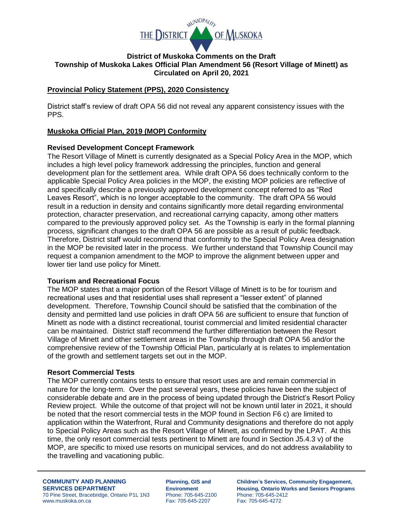

#### **District of Muskoka Comments on the Draft Township of Muskoka Lakes Official Plan Amendment 56 (Resort Village of Minett) as Circulated on April 20, 2021**

# **Provincial Policy Statement (PPS), 2020 Consistency**

District staff's review of draft OPA 56 did not reveal any apparent consistency issues with the PPS.

#### **Muskoka Official Plan, 2019 (MOP) Conformity**

#### **Revised Development Concept Framework**

The Resort Village of Minett is currently designated as a Special Policy Area in the MOP, which includes a high level policy framework addressing the principles, function and general development plan for the settlement area. While draft OPA 56 does technically conform to the applicable Special Policy Area policies in the MOP, the existing MOP policies are reflective of and specifically describe a previously approved development concept referred to as "Red Leaves Resort", which is no longer acceptable to the community. The draft OPA 56 would result in a reduction in density and contains significantly more detail regarding environmental protection, character preservation, and recreational carrying capacity, among other matters compared to the previously approved policy set. As the Township is early in the formal planning process, significant changes to the draft OPA 56 are possible as a result of public feedback. Therefore, District staff would recommend that conformity to the Special Policy Area designation in the MOP be revisited later in the process. We further understand that Township Council may request a companion amendment to the MOP to improve the alignment between upper and lower tier land use policy for Minett.

#### **Tourism and Recreational Focus**

The MOP states that a major portion of the Resort Village of Minett is to be for tourism and recreational uses and that residential uses shall represent a "lesser extent" of planned development. Therefore, Township Council should be satisfied that the combination of the density and permitted land use policies in draft OPA 56 are sufficient to ensure that function of Minett as node with a distinct recreational, tourist commercial and limited residential character can be maintained. District staff recommend the further differentiation between the Resort Village of Minett and other settlement areas in the Township through draft OPA 56 and/or the comprehensive review of the Township Official Plan, particularly at is relates to implementation of the growth and settlement targets set out in the MOP.

#### **Resort Commercial Tests**

The MOP currently contains tests to ensure that resort uses are and remain commercial in nature for the long-term. Over the past several years, these policies have been the subject of considerable debate and are in the process of being updated through the District's Resort Policy Review project. While the outcome of that project will not be known until later in 2021, it should be noted that the resort commercial tests in the MOP found in Section F6 c) are limited to application within the Waterfront, Rural and Community designations and therefore do not apply to Special Policy Areas such as the Resort Village of Minett, as confirmed by the LPAT. At this time, the only resort commercial tests pertinent to Minett are found in Section J5.4.3 v) of the MOP, are specific to mixed use resorts on municipal services, and do not address availability to the travelling and vacationing public.

70 Pine Street, Bracebridge, Ontario P1L 1N3 Phone: 705-645-210<br>www.muskoka.on.ca Phone: 705-645-2207 www.muskoka.on.ca Fax: 705-645-2207 Fax: 705-645-4272

**COMMUNITY AND PLANNING Planning, GIS and Children's Services, Community Engagement, SERVICES DEPARTMENT**<br> **Environment** Housing, Ontario Works and Seniors Programs<br> **Environment** Phone: 705-645-2100 Phone: 705-645-2412<br>
Phone: 705-645-2412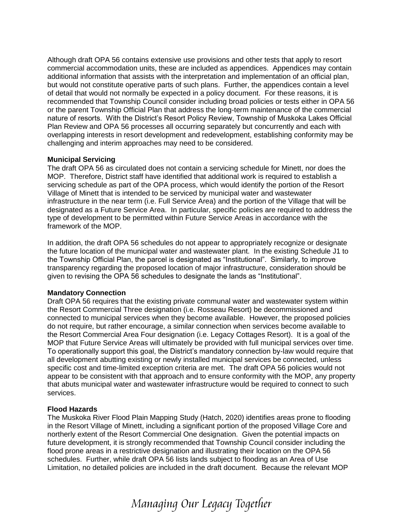Although draft OPA 56 contains extensive use provisions and other tests that apply to resort commercial accommodation units, these are included as appendices. Appendices may contain additional information that assists with the interpretation and implementation of an official plan, but would not constitute operative parts of such plans. Further, the appendices contain a level of detail that would not normally be expected in a policy document. For these reasons, it is recommended that Township Council consider including broad policies or tests either in OPA 56 or the parent Township Official Plan that address the long-term maintenance of the commercial nature of resorts. With the District's Resort Policy Review, Township of Muskoka Lakes Official Plan Review and OPA 56 processes all occurring separately but concurrently and each with overlapping interests in resort development and redevelopment, establishing conformity may be challenging and interim approaches may need to be considered.

#### **Municipal Servicing**

The draft OPA 56 as circulated does not contain a servicing schedule for Minett, nor does the MOP. Therefore, District staff have identified that additional work is required to establish a servicing schedule as part of the OPA process, which would identify the portion of the Resort Village of Minett that is intended to be serviced by municipal water and wastewater infrastructure in the near term (i.e. Full Service Area) and the portion of the Village that will be designated as a Future Service Area. In particular, specific policies are required to address the type of development to be permitted within Future Service Areas in accordance with the framework of the MOP.

In addition, the draft OPA 56 schedules do not appear to appropriately recognize or designate the future location of the municipal water and wastewater plant. In the existing Schedule J1 to the Township Official Plan, the parcel is designated as "Institutional". Similarly, to improve transparency regarding the proposed location of major infrastructure, consideration should be given to revising the OPA 56 schedules to designate the lands as "Institutional".

# **Mandatory Connection**

Draft OPA 56 requires that the existing private communal water and wastewater system within the Resort Commercial Three designation (i.e. Rosseau Resort) be decommissioned and connected to municipal services when they become available. However, the proposed policies do not require, but rather encourage, a similar connection when services become available to the Resort Commercial Area Four designation (i.e. Legacy Cottages Resort). It is a goal of the MOP that Future Service Areas will ultimately be provided with full municipal services over time. To operationally support this goal, the District's mandatory connection by-law would require that all development abutting existing or newly installed municipal services be connected, unless specific cost and time-limited exception criteria are met. The draft OPA 56 policies would not appear to be consistent with that approach and to ensure conformity with the MOP, any property that abuts municipal water and wastewater infrastructure would be required to connect to such services.

# **Flood Hazards**

The Muskoka River Flood Plain Mapping Study (Hatch, 2020) identifies areas prone to flooding in the Resort Village of Minett, including a significant portion of the proposed Village Core and northerly extent of the Resort Commercial One designation. Given the potential impacts on future development, it is strongly recommended that Township Council consider including the flood prone areas in a restrictive designation and illustrating their location on the OPA 56 schedules. Further, while draft OPA 56 lists lands subject to flooding as an Area of Use Limitation, no detailed policies are included in the draft document. Because the relevant MOP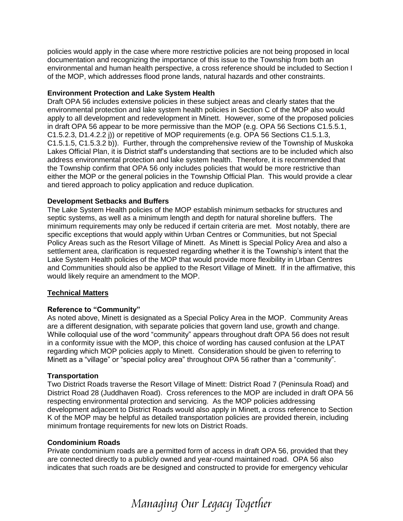policies would apply in the case where more restrictive policies are not being proposed in local documentation and recognizing the importance of this issue to the Township from both an environmental and human health perspective, a cross reference should be included to Section I of the MOP, which addresses flood prone lands, natural hazards and other constraints.

#### **Environment Protection and Lake System Health**

Draft OPA 56 includes extensive policies in these subject areas and clearly states that the environmental protection and lake system health policies in Section C of the MOP also would apply to all development and redevelopment in Minett. However, some of the proposed policies in draft OPA 56 appear to be more permissive than the MOP (e.g. OPA 56 Sections C1.5.5.1, C1.5.2.3, D1.4.2.2 j)) or repetitive of MOP requirements (e.g. OPA 56 Sections C1.5.1.3, C1.5.1.5, C1.5.3.2 b)). Further, through the comprehensive review of the Township of Muskoka Lakes Official Plan, it is District staff's understanding that sections are to be included which also address environmental protection and lake system health. Therefore, it is recommended that the Township confirm that OPA 56 only includes policies that would be more restrictive than either the MOP or the general policies in the Township Official Plan. This would provide a clear and tiered approach to policy application and reduce duplication.

#### **Development Setbacks and Buffers**

The Lake System Health policies of the MOP establish minimum setbacks for structures and septic systems, as well as a minimum length and depth for natural shoreline buffers. The minimum requirements may only be reduced if certain criteria are met. Most notably, there are specific exceptions that would apply within Urban Centres or Communities, but not Special Policy Areas such as the Resort Village of Minett. As Minett is Special Policy Area and also a settlement area, clarification is requested regarding whether it is the Township's intent that the Lake System Health policies of the MOP that would provide more flexibility in Urban Centres and Communities should also be applied to the Resort Village of Minett. If in the affirmative, this would likely require an amendment to the MOP.

# **Technical Matters**

# **Reference to "Community"**

As noted above, Minett is designated as a Special Policy Area in the MOP. Community Areas are a different designation, with separate policies that govern land use, growth and change. While colloquial use of the word "community" appears throughout draft OPA 56 does not result in a conformity issue with the MOP, this choice of wording has caused confusion at the LPAT regarding which MOP policies apply to Minett. Consideration should be given to referring to Minett as a "village" or "special policy area" throughout OPA 56 rather than a "community".

#### **Transportation**

Two District Roads traverse the Resort Village of Minett: District Road 7 (Peninsula Road) and District Road 28 (Juddhaven Road). Cross references to the MOP are included in draft OPA 56 respecting environmental protection and servicing. As the MOP policies addressing development adjacent to District Roads would also apply in Minett, a cross reference to Section K of the MOP may be helpful as detailed transportation policies are provided therein, including minimum frontage requirements for new lots on District Roads.

#### **Condominium Roads**

Private condominium roads are a permitted form of access in draft OPA 56, provided that they are connected directly to a publicly owned and year-round maintained road. OPA 56 also indicates that such roads are be designed and constructed to provide for emergency vehicular